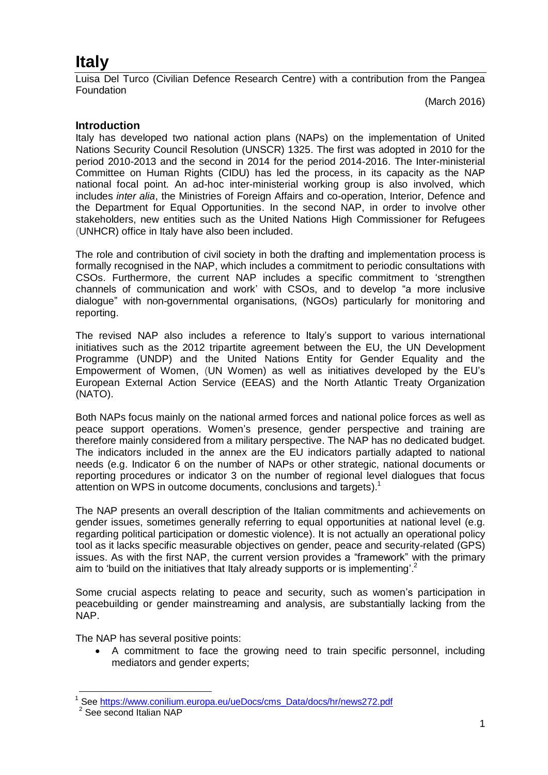# **Italy**

Luisa Del Turco (Civilian Defence Research Centre) with a contribution from the Pangea **Foundation** 

(March 2016)

#### **Introduction**

Italy has developed two national action plans (NAPs) on the implementation of United Nations Security Council Resolution (UNSCR) 1325. The first was adopted in 2010 for the period 2010-2013 and the second in 2014 for the period 2014-2016. The Inter-ministerial Committee on Human Rights (CIDU) has led the process, in its capacity as the NAP national focal point. An ad-hoc inter-ministerial working group is also involved, which includes *inter alia*, the Ministries of Foreign Affairs and co-operation, Interior, Defence and the Department for Equal Opportunities. In the second NAP, in order to involve other stakeholders, new entities such as the United Nations High Commissioner for Refugees (UNHCR) office in Italy have also been included.

The role and contribution of civil society in both the drafting and implementation process is formally recognised in the NAP, which includes a commitment to periodic consultations with CSOs. Furthermore, the current NAP includes a specific commitment to 'strengthen channels of communication and work' with CSOs, and to develop "a more inclusive dialogue" with non-governmental organisations, (NGOs) particularly for monitoring and reporting.

The revised NAP also includes a reference to Italy's support to various international initiatives such as the 2012 tripartite agreement between the EU, the UN Development Programme (UNDP) and the United Nations Entity for Gender Equality and the Empowerment of Women, (UN Women) as well as initiatives developed by the EU's European External Action Service (EEAS) and the North Atlantic Treaty Organization (NATO).

Both NAPs focus mainly on the national armed forces and national police forces as well as peace support operations. Women's presence, gender perspective and training are therefore mainly considered from a military perspective. The NAP has no dedicated budget. The indicators included in the annex are the EU indicators partially adapted to national needs (e.g. Indicator 6 on the number of NAPs or other strategic, national documents or reporting procedures or indicator 3 on the number of regional level dialogues that focus attention on WPS in outcome documents, conclusions and targets). 1

The NAP presents an overall description of the Italian commitments and achievements on gender issues, sometimes generally referring to equal opportunities at national level (e.g. regarding political participation or domestic violence). It is not actually an operational policy tool as it lacks specific measurable objectives on gender, peace and security-related (GPS) issues. As with the first NAP, the current version provides a "framework" with the primary aim to 'build on the initiatives that Italy already supports or is implementing'.<sup>2</sup>

Some crucial aspects relating to peace and security, such as women's participation in peacebuilding or gender mainstreaming and analysis, are substantially lacking from the NAP.

The NAP has several positive points:

 A commitment to face the growing need to train specific personnel, including mediators and gender experts;

 $\overline{a}$ See [https://www.conilium.europa.eu/ueDocs/cms\\_Data/docs/hr/news272.pdf](https://www.consilium.europa.eu/ueDocs/cms_Data/docs/hr/news272.pdf)

<sup>&</sup>lt;sup>2</sup> See second Italian NAP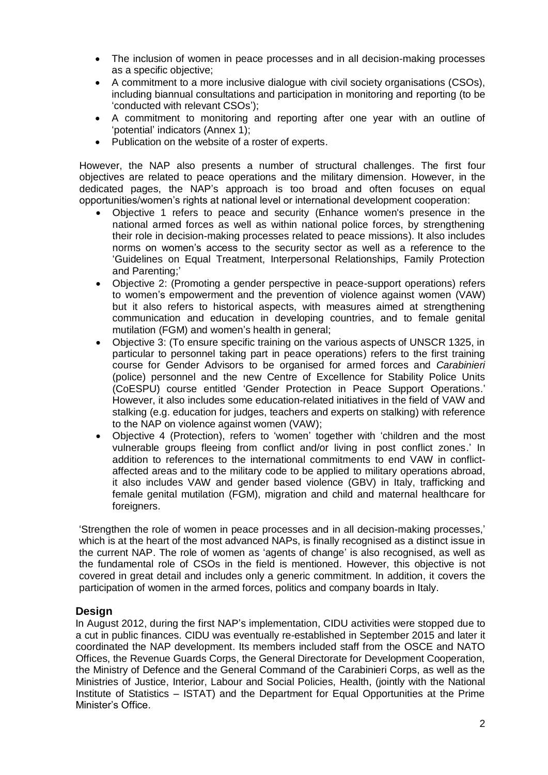- The inclusion of women in peace processes and in all decision-making processes as a specific objective;
- A commitment to a more inclusive dialogue with civil society organisations (CSOs), including biannual consultations and participation in monitoring and reporting (to be 'conducted with relevant CSOs');
- A commitment to monitoring and reporting after one year with an outline of 'potential' indicators (Annex 1);
- Publication on the website of a roster of experts.

However, the NAP also presents a number of structural challenges. The first four objectives are related to peace operations and the military dimension. However, in the dedicated pages, the NAP's approach is too broad and often focuses on equal opportunities/women's rights at national level or international development cooperation:

- Objective 1 refers to peace and security (Enhance women's presence in the national armed forces as well as within national police forces, by strengthening their role in decision-making processes related to peace missions). It also includes norms on women's access to the security sector as well as a reference to the 'Guidelines on Equal Treatment, Interpersonal Relationships, Family Protection and Parenting;'
- Objective 2: (Promoting a gender perspective in peace-support operations) refers to women's empowerment and the prevention of violence against women (VAW) but it also refers to historical aspects, with measures aimed at strengthening communication and education in developing countries, and to female genital mutilation (FGM) and women's health in general;
- Objective 3: (To ensure specific training on the various aspects of UNSCR 1325, in particular to personnel taking part in peace operations) refers to the first training course for Gender Advisors to be organised for armed forces and *Carabinieri* (police) personnel and the new Centre of Excellence for Stability Police Units (CoESPU) course entitled 'Gender Protection in Peace Support Operations.' However, it also includes some education-related initiatives in the field of VAW and stalking (e.g. education for judges, teachers and experts on stalking) with reference to the NAP on violence against women (VAW);
- Objective 4 (Protection), refers to 'women' together with 'children and the most vulnerable groups fleeing from conflict and/or living in post conflict zones.' In addition to references to the international commitments to end VAW in conflictaffected areas and to the military code to be applied to military operations abroad, it also includes VAW and gender based violence (GBV) in Italy, trafficking and female genital mutilation (FGM), migration and child and maternal healthcare for foreigners.

'Strengthen the role of women in peace processes and in all decision-making processes,' which is at the heart of the most advanced NAPs, is finally recognised as a distinct issue in the current NAP. The role of women as 'agents of change' is also recognised, as well as the fundamental role of CSOs in the field is mentioned. However, this objective is not covered in great detail and includes only a generic commitment. In addition, it covers the participation of women in the armed forces, politics and company boards in Italy.

## **Design**

In August 2012, during the first NAP's implementation, CIDU activities were stopped due to a cut in public finances. CIDU was eventually re-established in September 2015 and later it coordinated the NAP development. Its members included staff from the OSCE and NATO Offices, the Revenue Guards Corps, the General Directorate for Development Cooperation, the Ministry of Defence and the General Command of the Carabinieri Corps, as well as the Ministries of Justice, Interior, Labour and Social Policies, Health, (jointly with the National Institute of Statistics – ISTAT) and the Department for Equal Opportunities at the Prime Minister's Office.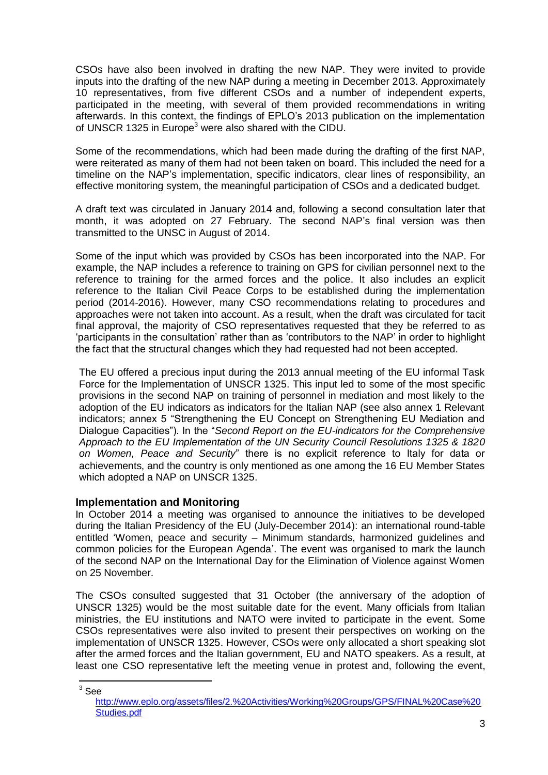CSOs have also been involved in drafting the new NAP. They were invited to provide inputs into the drafting of the new NAP during a meeting in December 2013. Approximately 10 representatives, from five different CSOs and a number of independent experts, participated in the meeting, with several of them provided recommendations in writing afterwards. In this context, the findings of EPLO's 2013 publication on the implementation of UNSCR 1325 in Europe<sup>3</sup> were also shared with the CIDU.

Some of the recommendations, which had been made during the drafting of the first NAP, were reiterated as many of them had not been taken on board. This included the need for a timeline on the NAP's implementation, specific indicators, clear lines of responsibility, an effective monitoring system, the meaningful participation of CSOs and a dedicated budget.

A draft text was circulated in January 2014 and, following a second consultation later that month, it was adopted on 27 February. The second NAP's final version was then transmitted to the UNSC in August of 2014.

Some of the input which was provided by CSOs has been incorporated into the NAP. For example, the NAP includes a reference to training on GPS for civilian personnel next to the reference to training for the armed forces and the police. It also includes an explicit reference to the Italian Civil Peace Corps to be established during the implementation period (2014-2016). However, many CSO recommendations relating to procedures and approaches were not taken into account. As a result, when the draft was circulated for tacit final approval, the majority of CSO representatives requested that they be referred to as 'participants in the consultation' rather than as 'contributors to the NAP' in order to highlight the fact that the structural changes which they had requested had not been accepted.

The EU offered a precious input during the 2013 annual meeting of the EU informal Task Force for the Implementation of UNSCR 1325. This input led to some of the most specific provisions in the second NAP on training of personnel in mediation and most likely to the adoption of the EU indicators as indicators for the Italian NAP (see also annex 1 Relevant indicators; annex 5 "Strengthening the EU Concept on Strengthening EU Mediation and Dialogue Capacities"). In the "*Second Report on the EU-indicators for the Comprehensive Approach to the EU Implementation of the UN Security Council Resolutions 1325 & 1820 on Women, Peace and Security*" there is no explicit reference to Italy for data or achievements, and the country is only mentioned as one among the 16 EU Member States which adopted a NAP on UNSCR 1325.

## **Implementation and Monitoring**

In October 2014 a meeting was organised to announce the initiatives to be developed during the Italian Presidency of the EU (July-December 2014): an international round-table entitled 'Women, peace and security – Minimum standards, harmonized guidelines and common policies for the European Agenda'. The event was organised to mark the launch of the second NAP on the International Day for the Elimination of Violence against Women on 25 November.

The CSOs consulted suggested that 31 October (the anniversary of the adoption of UNSCR 1325) would be the most suitable date for the event. Many officials from Italian ministries, the EU institutions and NATO were invited to participate in the event. Some CSOs representatives were also invited to present their perspectives on working on the implementation of UNSCR 1325. However, CSOs were only allocated a short speaking slot after the armed forces and the Italian government, EU and NATO speakers. As a result, at least one CSO representative left the meeting venue in protest and, following the event,

 $\overline{\phantom{a}}$  $^3$  See

http://www.eplo.org/assets/files/2.%20Activities/Working%20Groups/GPS/FINAL%20Case%20 Studies.pdf